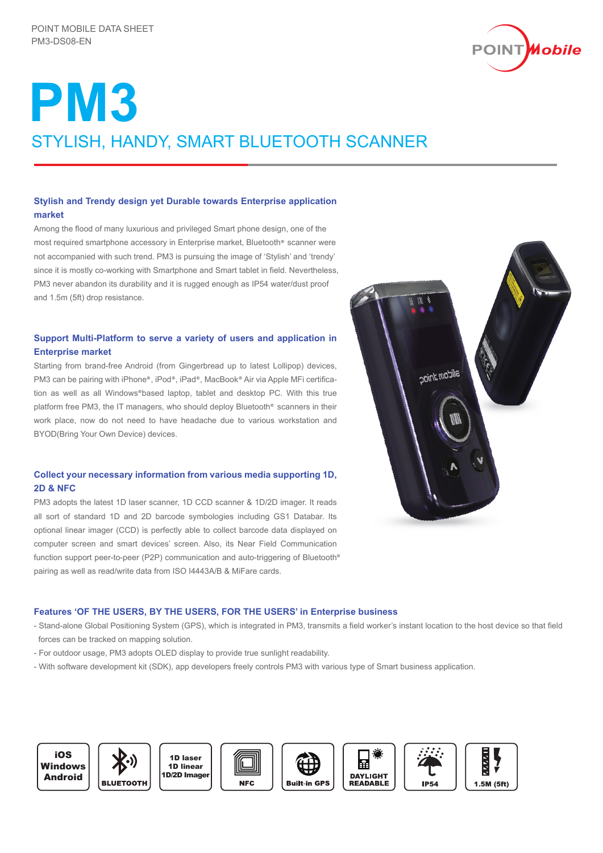

# **PM3** STYLISH, HANDY, SMART BLUETOOTH SCANNER

# **Stylish and Trendy design yet Durable towards Enterprise application market**

Among the flood of many luxurious and privileged Smart phone design, one of the most required smartphone accessory in Enterprise market. Bluetooth<sup>®</sup> scanner were not accompanied with such trend. PM3 is pursuing the image of 'Stylish' and 'trendy' since it is mostly co-working with Smartphone and Smart tablet in field. Nevertheless, PM3 never abandon its durability and it is rugged enough as IP54 water/dust proof and 1.5m (5ft) drop resistance.

# **Support Multi-Platform to serve a variety of users and application in Enterprise market**

Starting from brand-free Android (from Gingerbread up to latest Lollipop) devices, PM3 can be pairing with iPhone<sup>®</sup>. iPod<sup>®</sup>. iPad<sup>®</sup>. MacBook<sup>®</sup> Air via Apple MFi certification as well as all Windows®based laptop, tablet and desktop PC. With this true platform free PM3, the IT managers, who should deploy Bluetooth<sup>®</sup> scanners in their work place, now do not need to have headache due to various workstation and BYOD(Bring Your Own Device) devices.

# **Collect your necessary information from various media supporting 1D, 2D & NFC**

PM3 adopts the latest 1D laser scanner, 1D CCD scanner & 1D/2D imager. It reads all sort of standard 1D and 2D barcode symbologies including GS1 Databar. Its optional linear imager (CCD) is perfectly able to collect barcode data displayed on computer screen and smart devices' screen. Also, its Near Field Communication function support peer-to-peer (P2P) communication and auto-triggering of Bluetooth pairing as well as read/write data from ISO I4443A/B & MiFare cards.



## **Features 'OF THE USERS, BY THE USERS, FOR THE USERS' in Enterprise business**

- Stand-alone Global Positioning System (GPS), which is integrated in PM3, transmits a field worker's instant location to the host device so that field forces can be tracked on mapping solution.
- For outdoor usage, PM3 adopts OLED display to provide true sunlight readability.
- With software development kit (SDK), app developers freely controls PM3 with various type of Smart business application.